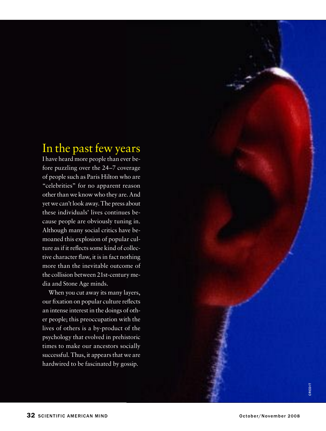# In the past few years

I have heard more people than ever be fore puzzling over the 24–7 coverage of people such as Paris Hilton who are "celebrities" for no apparent reason other than we know who they are. And yet we can't look away. The press about these individuals' lives continues be cause people are obviously tuning in. Although many social critics have be moaned this explosion of popular cul ture as if it reflects some kind of collec tive character flaw, it is in fact nothing more than the inevitable outcome of the collision between 21st-century me dia and Stone Age minds.

When you cut away its many layers, our fixation on popular culture reflects an intense interest in the doings of oth er people; this preoccupation with the lives of others is a by-product of the psychology that evolved in prehistoric times to make our ancestors socially successful. Thus, it appears that we are hardwired to be fascinated by gossip.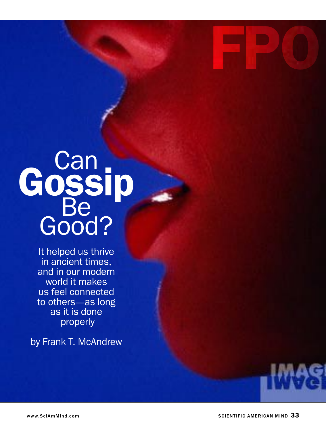# Gossip<br>Be Good?

It helped us thrive in ancient times, and in our modern world it makes us feel connected to others—as long as it is done properly

by Frank T. McAndrew

FPO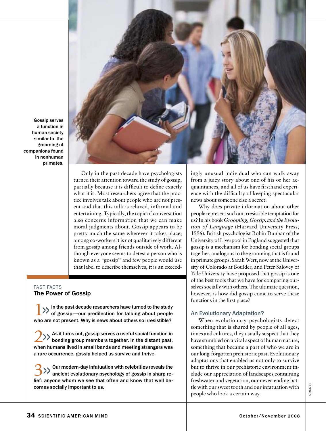Gossip serves a function in human society similar to the grooming of companions found in nonhuman primates.

> Only in the past decade have psychologists turned their attention toward the study of gossip, partially because it is difficult to define exactly what it is. Most researchers agree that the practice involves talk about people who are not present and that this talk is relaxed, informal and entertaining. Typically, the topic of conversation also concerns information that we can make moral judgments about. Gossip appears to be pretty much the same wherever it takes place; among co-workers it is not qualitatively different from gossip among friends outside of work. Although everyone seems to detest a person who is known as a "gossip" and few people would use that label to describe themselves, it is an exceed-

#### FAST FACTS The Power of Gossip

In the past decade researchers have turned to the study of gossip—our predilection for talking about people who are not present. Why is news about others so irresistible?

As it turns out, gossip serves a useful social function in bonding group members together. In the distant past, when humans lived in small bands and meeting strangers was a rare occurrence, gossip helped us survive and thrive.

Our modern-day infatuation with celebrities reveals the ancient evolutionary psychology of gossip in sharp relief: anyone whom we see that often and know that well becomes socially important to us.

ingly unusual individual who can walk away from a juicy story about one of his or her acquaintances, and all of us have firsthand experience with the difficulty of keeping spectacular news about someone else a secret.

Why does private information about other people represent such an irresistible temptation for us? In his book *Grooming, Gossip, and the Evolution of Language* (Harvard University Press, 1996), British psychologist Robin Dunbar of the University of Liverpool in England suggested that gossip is a mechanism for bonding social groups together, analogous to the grooming that is found in primate groups. Sarah Wert, now at the University of Colorado at Boulder, and Peter Salovey of Yale University have proposed that gossip is one of the best tools that we have for comparing ourselves socially with others. The ultimate question, however, is how did gossip come to serve these functions in the first place?

### An Evolutionary Adaptation?

When evolutionary psychologists detect something that is shared by people of all ages, times and cultures, they usually suspect that they have stumbled on a vital aspect of human nature, something that became a part of who we are in our long-forgotten prehistoric past. Evolutionary adaptations that enabled us not only to survive but to thrive in our prehistoric environment include our appreciation of landscapes containing freshwater and vegetation, our never-ending battle with our sweet tooth and our infatuation with people who look a certain way.

CREDIT

CREDIT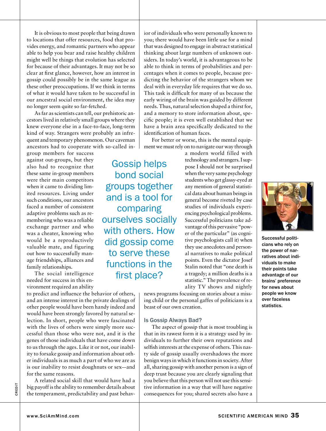It is obvious to most people that being drawn to locations that offer resources, food that provides energy, and romantic partners who appear able to help you bear and raise healthy children might well be things that evolution has selected for because of their advantages. It may not be so clear at first glance, however, how an interest in gossip could possibly be in the same league as these other preoccupations. If we think in terms of what it would have taken to be successful in our ancestral social environment, the idea may no longer seem quite so far-fetched.

As far as scientists can tell, our prehistoric ancestors lived in relatively small groups where they knew everyone else in a face-to-face, long-term kind of way. Strangers were probably an infrequent and temporary phenomenon. Our caveman ancestors had to cooperate with so-called in-

group members for success against out-groups, but they also had to recognize that these same in-group members were their main competitors when it came to dividing limited resources. Living under such conditions, our ancestors faced a number of consistent adaptive problems such as remembering who was a reliable exchange partner and who was a cheater, knowing who would be a reproductively valuable mate, and figuring out how to successfully manage friendships, alliances and family relationships.

The social intelligence needed for success in this environment required an ability

to predict and influence the behavior of others, and an intense interest in the private dealings of other people would have been handy indeed and would have been strongly favored by natural selection. In short, people who were fascinated with the lives of others were simply more successful than those who were not, and it is the genes of those individuals that have come down to us through the ages. Like it or not, our inability to forsake gossip and information about other individuals is as much a part of who we are as is our inability to resist doughnuts or sex—and for the same reasons.

A related social skill that would have had a big payoff is the ability to remember details about the temperament, predictability and past behav-

Gossip helps bond social groups together and is a tool for comparing ourselves socially with others. How did gossip come to serve these functions in the first place?

ior of individuals who were personally known to you; there would have been little use for a mind that was designed to engage in abstract statistical thinking about large numbers of unknown outsiders. In today's world, it is advantageous to be able to think in terms of probabilities and percentages when it comes to people, because predicting the behavior of the strangers whom we deal with in everyday life requires that we do so. This task is difficult for many of us because the early wiring of the brain was guided by different needs. Thus, natural selection shaped a thirst for, and a memory to store information about, specific people; it is even well established that we have a brain area specifically dedicated to the identification of human faces.

For better or worse, this is the mental equipment we must rely on to navigate our way through

a modern world filled with technology and strangers. I suppose I should not be surprised when the very same psychology students who get glassy-eyed at any mention of general statistical data about human beings in general become riveted by case studies of individuals experiencing psychological problems. Successful politicians take advantage of this pervasive "power of the particular" (as cognitive psychologists call it) when they use anecdotes and personal narratives to make political points. Even the dictator Josef Stalin noted that "one death is a tragedy; a million deaths is a statistic." The prevalence of reality TV shows and nightly

news programs focusing on stories about a missing child or the personal gaffes of politicians is a beast of our own creation.

#### Is Gossip Always Bad?

The aspect of gossip that is most troubling is that in its rawest form it is a strategy used by individuals to further their own reputations and selfish interests at the expense of others. This nasty side of gossip usually overshadows the more benign ways in which it functions in society. After all, sharing gossip with another person is a sign of deep trust because you are clearly signaling that you believe that this person will not use this sensitive information in a way that will have negative consequences for you; shared secrets also have a



Successful politicians who rely on the power of narratives about individuals to make their points take advantage of our brains' preference for news about people we know over faceless statistics.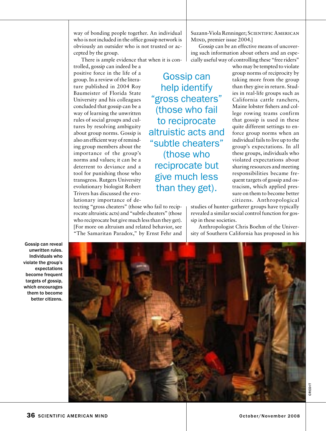way of bonding people together. An individual who is not included in the office gossip network is obviously an outsider who is not trusted or accepted by the group.

There is ample evidence that when it is con-

trolled, gossip can indeed be a positive force in the life of a group. In a review of the literature published in 2004 Roy Baumeister of Florida State University and his colleagues concluded that gossip can be a way of learning the unwritten rules of social groups and cultures by resolving ambiguity about group norms. Gossip is also an efficient way of reminding group members about the importance of the group's norms and values; it can be a deterrent to deviance and a tool for punishing those who transgress. Rutgers University evolutionary biologist Robert Trivers has discussed the evolutionary importance of de-

tecting "gross cheaters" (those who fail to reciprocate altruistic acts) and "subtle cheaters" (those who reciprocate but give much less than they get). [For more on altruism and related behavior, see "The Samaritan Paradox," by Ernst Fehr and Suzann-Viola Renninger; SCIENTIFIC AMERICAN Mind, premier issue 2004.]

Gossip can be an effective means of uncovering such information about others and an especially useful way of controlling these "free riders"

> who may be tempted to violate group norms of reciprocity by taking more from the group than they give in return. Studies in real-life groups such as California cattle ranchers, Maine lobster fishers and college rowing teams confirm that gossip is used in these quite different settings to enforce group norms when an individual fails to live up to the group's expectations. In all these groups, individuals who violated expectations about sharing resources and meeting responsibilities became frequent targets of gossip and ostracism, which applied pressure on them to become better citizens. Anthropological

studies of hunter-gatherer groups have typically revealed a similar social control function for gossip in these societies.

Anthropologist Chris Boehm of the University of Southern California has proposed in his

Gossip can reveal unwritten rules. Individuals who violate the group's expectations become frequent targets of gossip, which encourages them to become better citizens.



Gossip can

help identify "gross cheaters" (those who fail

to reciprocate altruistic acts and "subtle cheaters"

(those who reciprocate but give much less

than they get).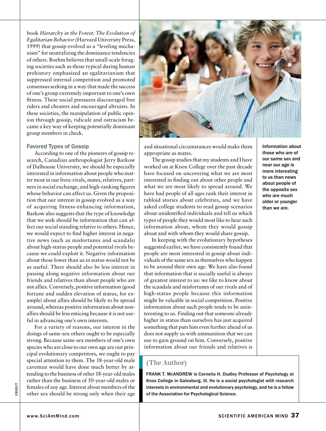book *Hierarchy in the Forest: The Evolution of Egalitarian Behavior* (Harvard University Press, 1999) that gossip evolved as a "leveling mechanism" for neutralizing the dominance tendencies of others. Boehm believes that small-scale foraging societies such as those typical during human prehistory emphasized an egalitarianism that suppressed internal competition and promoted consensus seeking in a way that made the success of one's group extremely important to one's own fitness. These social pressures discouraged free riders and cheaters and encouraged altruists. In these societies, the manipulation of public opinion through gossip, ridicule and ostracism became a key way of keeping potentially dominant group members in check.

#### Favored Types of Gossip

According to one of the pioneers of gossip research, Canadian anthropologist Jerry Barkow of Dalhousie University, we should be especially interested in information about people who matter most in our lives: rivals, mates, relatives, partners in social exchange, and high-ranking figures whose behavior can affect us. Given the proposition that our interest in gossip evolved as a way of acquiring fitness-enhancing information, Barkow also suggests that the type of knowledge that we seek should be information that can affect our social standing relative to others. Hence, we would expect to find higher interest in negative news (such as misfortunes and scandals) about high-status people and potential rivals because we could exploit it. Negative information about those lower than us in status would not be as useful. There should also be less interest in passing along negative information about our friends and relatives than about people who are not allies. Conversely, positive information (good fortune and sudden elevation of status, for example) about allies should be likely to be spread around, whereas positive information about nonallies should be less enticing because it is not useful in advancing one's own interests.

For a variety of reasons, our interest in the doings of same-sex others ought to be especially strong. Because same-sex members of one's own species who are close to our own age are our principal evolutionary competitors, we ought to pay special attention to them. The 18-year-old male caveman would have done much better by attending to the business of other 18-year-old males rather than the business of 50-year-old males or females of any age. Interest about members of the other sex should be strong only when their age



and situational circumstances would make them appropriate as mates.

The gossip studies that my students and I have worked on at Knox College over the past decade have focused on uncovering what we are most interested in finding out about other people and what we are most likely to spread around. We have had people of all ages rank their interest in tabloid stories about celebrities, and we have asked college students to read gossip scenarios about unidentified individuals and tell us which types of people they would most like to hear such information about, whom they would gossip about and with whom they would share gossip.

In keeping with the evolutionary hypotheses suggested earlier, we have consistently found that people are most interested in gossip about individuals of the same sex as themselves who happen to be around their own age. We have also found that information that is socially useful is always of greatest interest to us: we like to know about the scandals and misfortunes of our rivals and of high-status people because this information might be valuable in social competition. Positive information about such people tends to be uninteresting to us. Finding out that someone already higher in status than ourselves has just acquired something that puts him even further ahead of us does not supply us with ammunition that we can use to gain ground on him. Conversely, positive information about our friends and relatives is

Information about those who are of our same sex and near our age is more interesting to us than news about people of the opposite sex who are much older or younger than we are.

# (The Author)

FRANK T. McANDREW is Cornelia H. Dudley Professor of Psychology at Knox College in Galesburg, Ill. He is a social psychologist with research interests in environmental and evolutionary psychology, and he is a fellow of the Association for Psychological Science.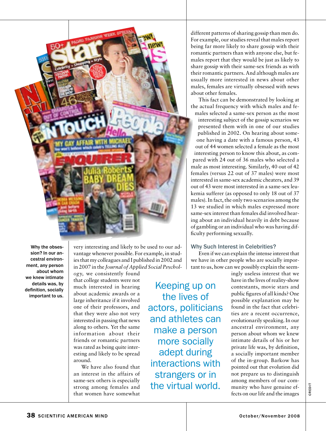

Why the obsession? In our ancestral environment, any person about whom we knew intimate details was, by definition, socially important to us.

very interesting and likely to be used to our advantage whenever possible. For example, in studies that my colleagues and I published in 2002 and in 2007 in the *Journal of Applied Social Psychol-*

*ogy,* we consistently found that college students were not much interested in hearing about academic awards or a large inheritance if it involved one of their professors, and that they were also not very interested in passing that news along to others. Yet the same information about their friends or romantic partners was rated as being quite interesting and likely to be spread around.

We have also found that an interest in the affairs of same-sex others is especially strong among females and that women have somewhat

Keeping up on the lives of actors, politicians and athletes can make a person more socially adept during interactions with strangers or in the virtual world.

different patterns of sharing gossip than men do. For example, our studies reveal that males report being far more likely to share gossip with their romantic partners than with anyone else, but females report that they would be just as likely to share gossip with their same-sex friends as with their romantic partners. And although males are usually more interested in news about other males, females are virtually obsessed with news about other females.

This fact can be demonstrated by looking at the actual frequency with which males and fe-

males selected a same-sex person as the most interesting subject of the gossip scenarios we presented them with in one of our studies published in 2002. On hearing about someone having a date with a famous person, 43 out of 44 women selected a female as the most interesting person to know this about, as compared with 24 out of 36 males who selected a male as most interesting. Similarly, 40 out of 42 females (versus 22 out of 37 males) were most interested in same-sex academic cheaters, and 39 out of 43 were most interested in a same-sex leukemia sufferer (as opposed to only 18 out of 37 males). In fact, the only two scenarios among the 13 we studied in which males expressed more same-sex interest than females did involved hearing about an individual heavily in debt because of gambling or an individual who was having difficulty performing sexually.

#### Why Such Interest in Celebrities?

Even if we can explain the intense interest that we have in other people who are socially important to us, how can we possibly explain the seem-

> ingly useless interest that we have in the lives of reality-show contestants, movie stars and public figures of all kinds? One possible explanation may be found in the fact that celebrities are a recent occurrence, evolutionarily speaking. In our ancestral environment, any person about whom we knew intimate details of his or her private life was, by definition, a socially important member of the in-group. Barkow has pointed out that evolution did not prepare us to distinguish among members of our community who have genuine effects on our life and the images

CREDIT CREDIT